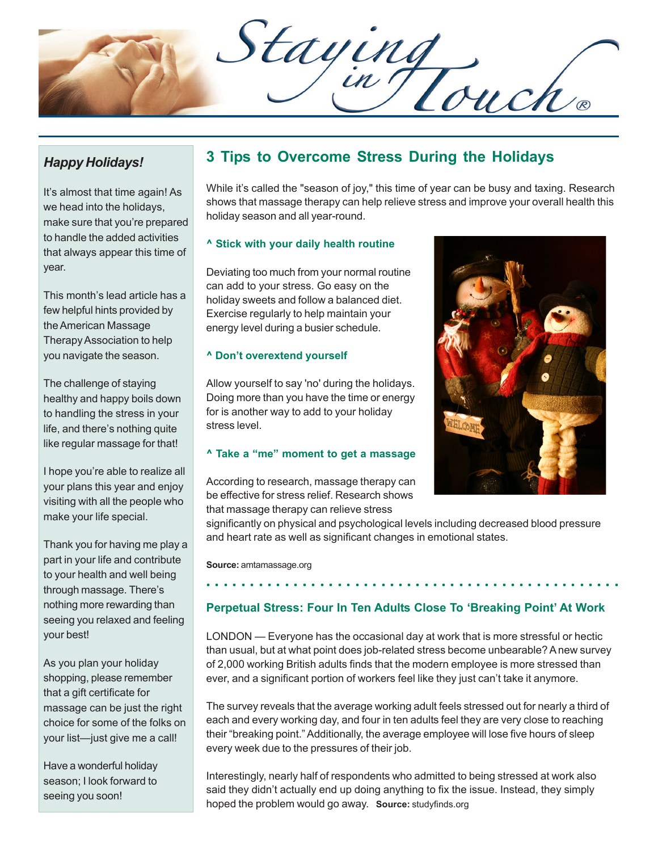Staying

### *Happy Holidays!*

It's almost that time again! As we head into the holidays, make sure that you're prepared to handle the added activities that always appear this time of year.

This month's lead article has a few helpful hints provided by the American Massage Therapy Association to help you navigate the season.

The challenge of staying healthy and happy boils down to handling the stress in your life, and there's nothing quite like regular massage for that!

I hope you're able to realize all your plans this year and enjoy visiting with all the people who make your life special.

Thank you for having me play a part in your life and contribute to your health and well being through massage. There's nothing more rewarding than seeing you relaxed and feeling your best!

As you plan your holiday shopping, please remember that a gift certificate for massage can be just the right choice for some of the folks on your list—just give me a call!

Have a wonderful holiday season; I look forward to seeing you soon!

## **3 Tips to Overcome Stress During the Holidays**

While it's called the "season of joy," this time of year can be busy and taxing. Research shows that massage therapy can help relieve stress and improve your overall health this holiday season and all year-round.

#### **^ Stick with your daily health routine**

Deviating too much from your normal routine can add to your stress. Go easy on the holiday sweets and follow a balanced diet. Exercise regularly to help maintain your energy level during a busier schedule.

#### **^ Don't overextend yourself**

Allow yourself to say 'no' during the holidays. Doing more than you have the time or energy for is another way to add to your holiday stress level.

#### **^ Take a "me" moment to get a massage**

According to research, massage therapy can be effective for stress relief. Research shows that massage therapy can relieve stress



significantly on physical and psychological levels including decreased blood pressure and heart rate as well as significant changes in emotional states.

**Source:** amtamassage.org

#### **Perpetual Stress: Four In Ten Adults Close To 'Breaking Point' At Work**

○○○○○○○○○○○○○○○○○○ ○○○○○○○○○○○○○○○○○○○○○○○○○○○○○○

LONDON — Everyone has the occasional day at work that is more stressful or hectic than usual, but at what point does job-related stress become unbearable? A new survey of 2,000 working British adults finds that the modern employee is more stressed than ever, and a significant portion of workers feel like they just can't take it anymore.

The survey reveals that the average working adult feels stressed out for nearly a third of each and every working day, and four in ten adults feel they are very close to reaching their "breaking point." Additionally, the average employee will lose five hours of sleep every week due to the pressures of their job.

Interestingly, nearly half of respondents who admitted to being stressed at work also said they didn't actually end up doing anything to fix the issue. Instead, they simply hoped the problem would go away. **Source:** studyfinds.org